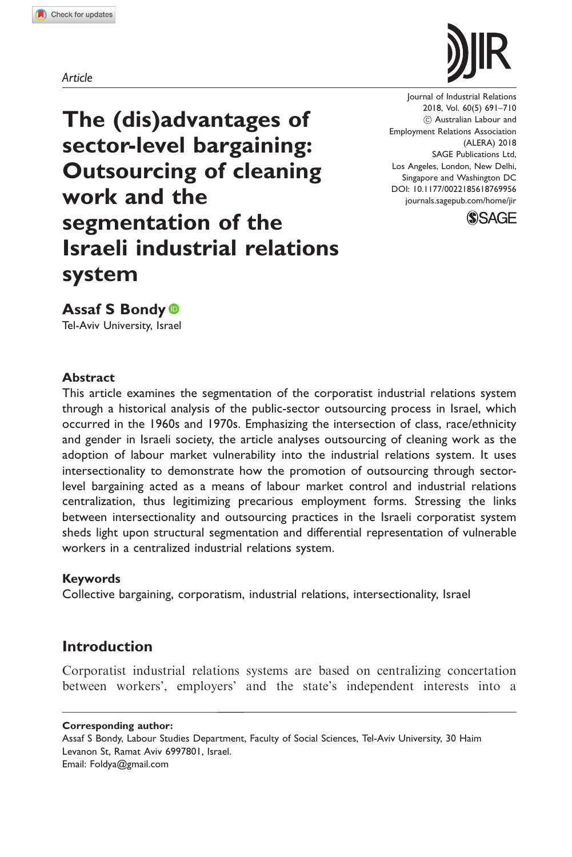Article



Journal of Industrial Relations 2018, Vol. 60(5) 691–710  $(O)$  Australian Labour and Employment Relations Association (ALERA) 2018 [SAGE Publications Ltd,](https://uk.sagepub.com/en-gb/journals-permissions) [Los Angeles, London, New Delhi,](https://uk.sagepub.com/en-gb/journals-permissions) [Singapore and Washington DC](https://uk.sagepub.com/en-gb/journals-permissions) DOI: [10.1177/0022185618769956](https://doi.org/10.1177/0022185618769956) <journals.sagepub.com/home/jir>



The (dis)advantages of sector-level bargaining: Outsourcing of cleaning work and the segmentation of the Israeli industrial relations system

Assaf S Bondy Tel-Aviv University, Israel

### Abstract

This article examines the segmentation of the corporatist industrial relations system through a historical analysis of the public-sector outsourcing process in Israel, which occurred in the 1960s and 1970s. Emphasizing the intersection of class, race/ethnicity and gender in Israeli society, the article analyses outsourcing of cleaning work as the adoption of labour market vulnerability into the industrial relations system. It uses intersectionality to demonstrate how the promotion of outsourcing through sectorlevel bargaining acted as a means of labour market control and industrial relations centralization, thus legitimizing precarious employment forms. Stressing the links between intersectionality and outsourcing practices in the Israeli corporatist system sheds light upon structural segmentation and differential representation of vulnerable workers in a centralized industrial relations system.

### Keywords

Collective bargaining, corporatism, industrial relations, intersectionality, Israel

# Introduction

Corporatist industrial relations systems are based on centralizing concertation between workers', employers' and the state's independent interests into a

Corresponding author:

Assaf S Bondy, Labour Studies Department, Faculty of Social Sciences, Tel-Aviv University, 30 Haim Levanon St, Ramat Aviv 6997801, Israel. Email: Foldya@gmail.com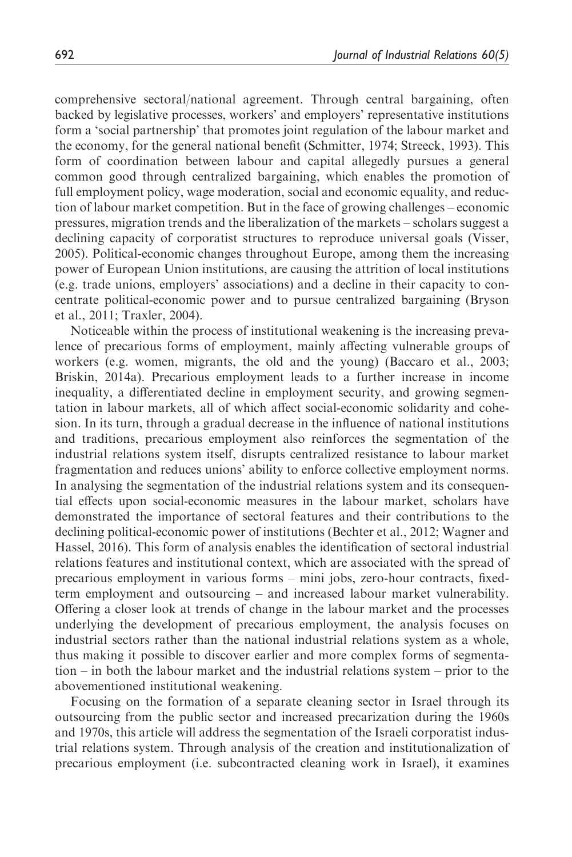comprehensive sectoral/national agreement. Through central bargaining, often backed by legislative processes, workers' and employers' representative institutions form a 'social partnership' that promotes joint regulation of the labour market and the economy, for the general national benefit (Schmitter, 1974; Streeck, 1993). This form of coordination between labour and capital allegedly pursues a general common good through centralized bargaining, which enables the promotion of full employment policy, wage moderation, social and economic equality, and reduction of labour market competition. But in the face of growing challenges – economic pressures, migration trends and the liberalization of the markets – scholars suggest a declining capacity of corporatist structures to reproduce universal goals (Visser, 2005). Political-economic changes throughout Europe, among them the increasing power of European Union institutions, are causing the attrition of local institutions (e.g. trade unions, employers' associations) and a decline in their capacity to concentrate political-economic power and to pursue centralized bargaining (Bryson et al., 2011; Traxler, 2004).

Noticeable within the process of institutional weakening is the increasing prevalence of precarious forms of employment, mainly affecting vulnerable groups of workers (e.g. women, migrants, the old and the young) (Baccaro et al., 2003; Briskin, 2014a). Precarious employment leads to a further increase in income inequality, a differentiated decline in employment security, and growing segmentation in labour markets, all of which affect social-economic solidarity and cohesion. In its turn, through a gradual decrease in the influence of national institutions and traditions, precarious employment also reinforces the segmentation of the industrial relations system itself, disrupts centralized resistance to labour market fragmentation and reduces unions' ability to enforce collective employment norms. In analysing the segmentation of the industrial relations system and its consequential effects upon social-economic measures in the labour market, scholars have demonstrated the importance of sectoral features and their contributions to the declining political-economic power of institutions (Bechter et al., 2012; Wagner and Hassel, 2016). This form of analysis enables the identification of sectoral industrial relations features and institutional context, which are associated with the spread of precarious employment in various forms – mini jobs, zero-hour contracts, fixedterm employment and outsourcing – and increased labour market vulnerability. Offering a closer look at trends of change in the labour market and the processes underlying the development of precarious employment, the analysis focuses on industrial sectors rather than the national industrial relations system as a whole, thus making it possible to discover earlier and more complex forms of segmentation – in both the labour market and the industrial relations system – prior to the abovementioned institutional weakening.

Focusing on the formation of a separate cleaning sector in Israel through its outsourcing from the public sector and increased precarization during the 1960s and 1970s, this article will address the segmentation of the Israeli corporatist industrial relations system. Through analysis of the creation and institutionalization of precarious employment (i.e. subcontracted cleaning work in Israel), it examines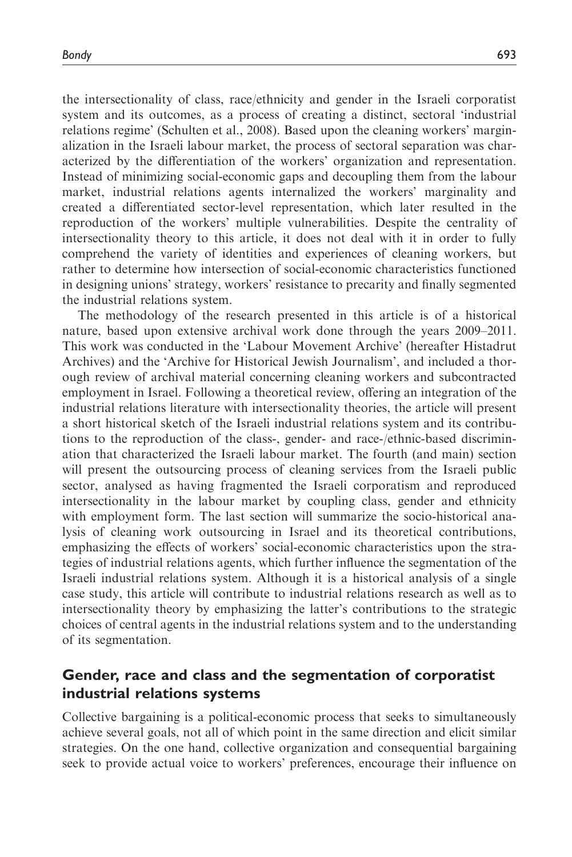the intersectionality of class, race/ethnicity and gender in the Israeli corporatist system and its outcomes, as a process of creating a distinct, sectoral 'industrial relations regime' (Schulten et al., 2008). Based upon the cleaning workers' marginalization in the Israeli labour market, the process of sectoral separation was characterized by the differentiation of the workers' organization and representation. Instead of minimizing social-economic gaps and decoupling them from the labour market, industrial relations agents internalized the workers' marginality and created a differentiated sector-level representation, which later resulted in the reproduction of the workers' multiple vulnerabilities. Despite the centrality of intersectionality theory to this article, it does not deal with it in order to fully comprehend the variety of identities and experiences of cleaning workers, but rather to determine how intersection of social-economic characteristics functioned in designing unions' strategy, workers' resistance to precarity and finally segmented the industrial relations system.

The methodology of the research presented in this article is of a historical nature, based upon extensive archival work done through the years 2009–2011. This work was conducted in the 'Labour Movement Archive' (hereafter Histadrut Archives) and the 'Archive for Historical Jewish Journalism', and included a thorough review of archival material concerning cleaning workers and subcontracted employment in Israel. Following a theoretical review, offering an integration of the industrial relations literature with intersectionality theories, the article will present a short historical sketch of the Israeli industrial relations system and its contributions to the reproduction of the class-, gender- and race-/ethnic-based discrimination that characterized the Israeli labour market. The fourth (and main) section will present the outsourcing process of cleaning services from the Israeli public sector, analysed as having fragmented the Israeli corporatism and reproduced intersectionality in the labour market by coupling class, gender and ethnicity with employment form. The last section will summarize the socio-historical analysis of cleaning work outsourcing in Israel and its theoretical contributions, emphasizing the effects of workers' social-economic characteristics upon the strategies of industrial relations agents, which further influence the segmentation of the Israeli industrial relations system. Although it is a historical analysis of a single case study, this article will contribute to industrial relations research as well as to intersectionality theory by emphasizing the latter's contributions to the strategic choices of central agents in the industrial relations system and to the understanding of its segmentation.

## Gender, race and class and the segmentation of corporatist industrial relations systems

Collective bargaining is a political-economic process that seeks to simultaneously achieve several goals, not all of which point in the same direction and elicit similar strategies. On the one hand, collective organization and consequential bargaining seek to provide actual voice to workers' preferences, encourage their influence on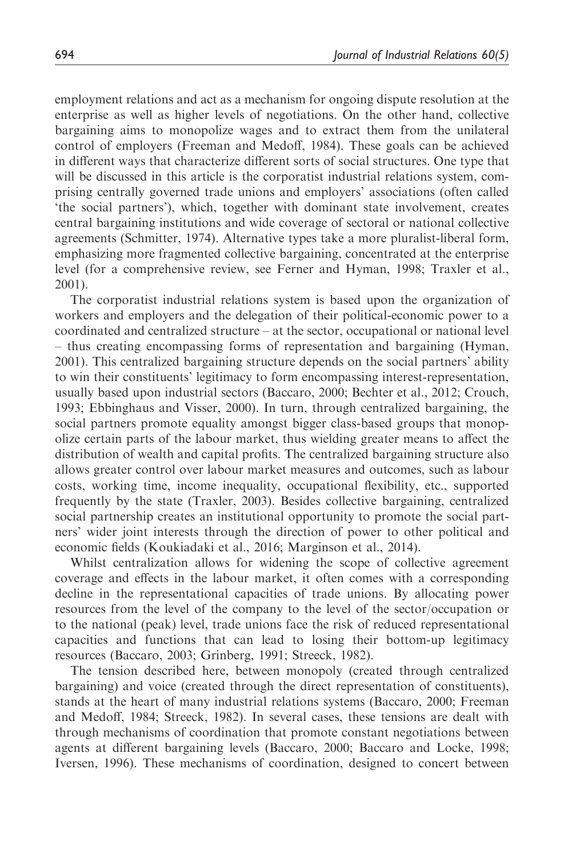employment relations and act as a mechanism for ongoing dispute resolution at the enterprise as well as higher levels of negotiations. On the other hand, collective bargaining aims to monopolize wages and to extract them from the unilateral control of employers (Freeman and Medoff, 1984). These goals can be achieved in different ways that characterize different sorts of social structures. One type that will be discussed in this article is the corporatist industrial relations system, comprising centrally governed trade unions and employers' associations (often called 'the social partners'), which, together with dominant state involvement, creates central bargaining institutions and wide coverage of sectoral or national collective agreements (Schmitter, 1974). Alternative types take a more pluralist-liberal form, emphasizing more fragmented collective bargaining, concentrated at the enterprise level (for a comprehensive review, see Ferner and Hyman, 1998; Traxler et al., 2001).

The corporatist industrial relations system is based upon the organization of workers and employers and the delegation of their political-economic power to a coordinated and centralized structure – at the sector, occupational or national level – thus creating encompassing forms of representation and bargaining (Hyman, 2001). This centralized bargaining structure depends on the social partners' ability to win their constituents' legitimacy to form encompassing interest-representation, usually based upon industrial sectors (Baccaro, 2000; Bechter et al., 2012; Crouch, 1993; Ebbinghaus and Visser, 2000). In turn, through centralized bargaining, the social partners promote equality amongst bigger class-based groups that monopolize certain parts of the labour market, thus wielding greater means to affect the distribution of wealth and capital profits. The centralized bargaining structure also allows greater control over labour market measures and outcomes, such as labour costs, working time, income inequality, occupational flexibility, etc., supported frequently by the state (Traxler, 2003). Besides collective bargaining, centralized social partnership creates an institutional opportunity to promote the social partners' wider joint interests through the direction of power to other political and economic fields (Koukiadaki et al., 2016; Marginson et al., 2014).

Whilst centralization allows for widening the scope of collective agreement coverage and effects in the labour market, it often comes with a corresponding decline in the representational capacities of trade unions. By allocating power resources from the level of the company to the level of the sector/occupation or to the national (peak) level, trade unions face the risk of reduced representational capacities and functions that can lead to losing their bottom-up legitimacy resources (Baccaro, 2003; Grinberg, 1991; Streeck, 1982).

The tension described here, between monopoly (created through centralized bargaining) and voice (created through the direct representation of constituents), stands at the heart of many industrial relations systems (Baccaro, 2000; Freeman and Medoff, 1984; Streeck, 1982). In several cases, these tensions are dealt with through mechanisms of coordination that promote constant negotiations between agents at different bargaining levels (Baccaro, 2000; Baccaro and Locke, 1998; Iversen, 1996). These mechanisms of coordination, designed to concert between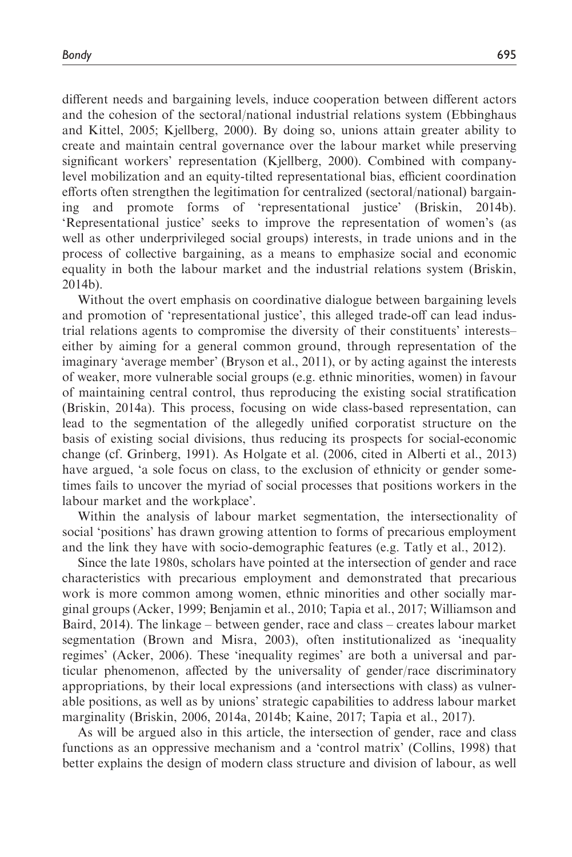different needs and bargaining levels, induce cooperation between different actors and the cohesion of the sectoral/national industrial relations system (Ebbinghaus and Kittel, 2005; Kjellberg, 2000). By doing so, unions attain greater ability to create and maintain central governance over the labour market while preserving significant workers' representation (Kjellberg, 2000). Combined with companylevel mobilization and an equity-tilted representational bias, efficient coordination efforts often strengthen the legitimation for centralized (sectoral/national) bargaining and promote forms of 'representational justice' (Briskin, 2014b). 'Representational justice' seeks to improve the representation of women's (as well as other underprivileged social groups) interests, in trade unions and in the process of collective bargaining, as a means to emphasize social and economic equality in both the labour market and the industrial relations system (Briskin, 2014b).

Without the overt emphasis on coordinative dialogue between bargaining levels and promotion of 'representational justice', this alleged trade-off can lead industrial relations agents to compromise the diversity of their constituents' interests– either by aiming for a general common ground, through representation of the imaginary 'average member' (Bryson et al., 2011), or by acting against the interests of weaker, more vulnerable social groups (e.g. ethnic minorities, women) in favour of maintaining central control, thus reproducing the existing social stratification (Briskin, 2014a). This process, focusing on wide class-based representation, can lead to the segmentation of the allegedly unified corporatist structure on the basis of existing social divisions, thus reducing its prospects for social-economic change (cf. Grinberg, 1991). As Holgate et al. (2006, cited in Alberti et al., 2013) have argued, 'a sole focus on class, to the exclusion of ethnicity or gender sometimes fails to uncover the myriad of social processes that positions workers in the labour market and the workplace'.

Within the analysis of labour market segmentation, the intersectionality of social 'positions' has drawn growing attention to forms of precarious employment and the link they have with socio-demographic features (e.g. Tatly et al., 2012).

Since the late 1980s, scholars have pointed at the intersection of gender and race characteristics with precarious employment and demonstrated that precarious work is more common among women, ethnic minorities and other socially marginal groups (Acker, 1999; Benjamin et al., 2010; Tapia et al., 2017; Williamson and Baird, 2014). The linkage – between gender, race and class – creates labour market segmentation (Brown and Misra, 2003), often institutionalized as 'inequality regimes' (Acker, 2006). These 'inequality regimes' are both a universal and particular phenomenon, affected by the universality of gender/race discriminatory appropriations, by their local expressions (and intersections with class) as vulnerable positions, as well as by unions' strategic capabilities to address labour market marginality (Briskin, 2006, 2014a, 2014b; Kaine, 2017; Tapia et al., 2017).

As will be argued also in this article, the intersection of gender, race and class functions as an oppressive mechanism and a 'control matrix' (Collins, 1998) that better explains the design of modern class structure and division of labour, as well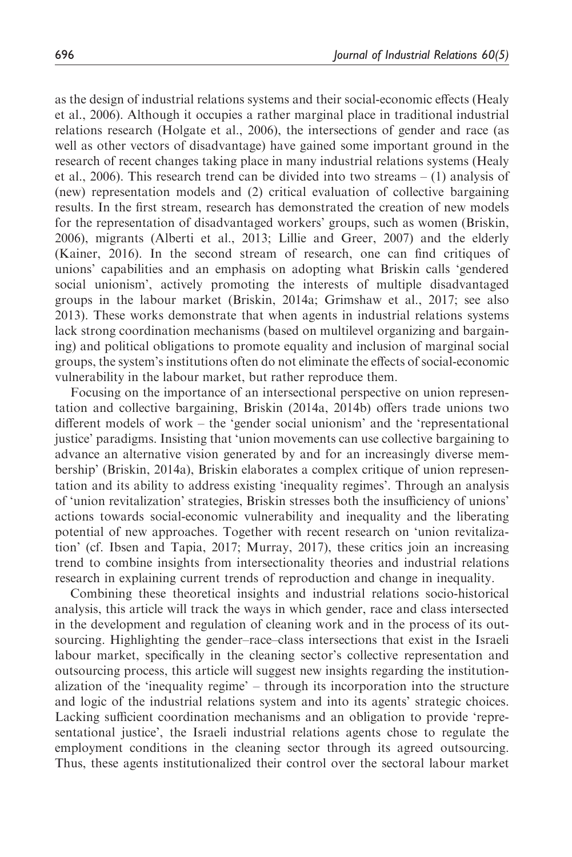as the design of industrial relations systems and their social-economic effects (Healy et al., 2006). Although it occupies a rather marginal place in traditional industrial relations research (Holgate et al., 2006), the intersections of gender and race (as well as other vectors of disadvantage) have gained some important ground in the research of recent changes taking place in many industrial relations systems (Healy et al., 2006). This research trend can be divided into two streams – (1) analysis of (new) representation models and (2) critical evaluation of collective bargaining results. In the first stream, research has demonstrated the creation of new models for the representation of disadvantaged workers' groups, such as women (Briskin, 2006), migrants (Alberti et al., 2013; Lillie and Greer, 2007) and the elderly (Kainer, 2016). In the second stream of research, one can find critiques of unions' capabilities and an emphasis on adopting what Briskin calls 'gendered social unionism', actively promoting the interests of multiple disadvantaged groups in the labour market (Briskin, 2014a; Grimshaw et al., 2017; see also 2013). These works demonstrate that when agents in industrial relations systems lack strong coordination mechanisms (based on multilevel organizing and bargaining) and political obligations to promote equality and inclusion of marginal social groups, the system's institutions often do not eliminate the effects of social-economic vulnerability in the labour market, but rather reproduce them.

Focusing on the importance of an intersectional perspective on union representation and collective bargaining, Briskin (2014a, 2014b) offers trade unions two different models of work – the 'gender social unionism' and the 'representational justice' paradigms. Insisting that 'union movements can use collective bargaining to advance an alternative vision generated by and for an increasingly diverse membership' (Briskin, 2014a), Briskin elaborates a complex critique of union representation and its ability to address existing 'inequality regimes'. Through an analysis of 'union revitalization' strategies, Briskin stresses both the insufficiency of unions' actions towards social-economic vulnerability and inequality and the liberating potential of new approaches. Together with recent research on 'union revitalization' (cf. Ibsen and Tapia, 2017; Murray, 2017), these critics join an increasing trend to combine insights from intersectionality theories and industrial relations research in explaining current trends of reproduction and change in inequality.

Combining these theoretical insights and industrial relations socio-historical analysis, this article will track the ways in which gender, race and class intersected in the development and regulation of cleaning work and in the process of its outsourcing. Highlighting the gender–race–class intersections that exist in the Israeli labour market, specifically in the cleaning sector's collective representation and outsourcing process, this article will suggest new insights regarding the institutionalization of the 'inequality regime' – through its incorporation into the structure and logic of the industrial relations system and into its agents' strategic choices. Lacking sufficient coordination mechanisms and an obligation to provide 'representational justice', the Israeli industrial relations agents chose to regulate the employment conditions in the cleaning sector through its agreed outsourcing. Thus, these agents institutionalized their control over the sectoral labour market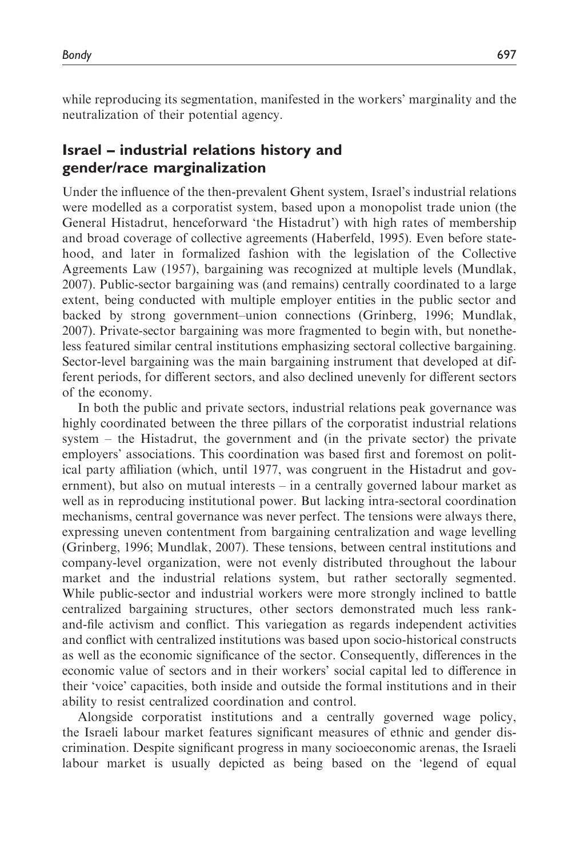while reproducing its segmentation, manifested in the workers' marginality and the neutralization of their potential agency.

# Israel – industrial relations history and gender/race marginalization

Under the influence of the then-prevalent Ghent system, Israel's industrial relations were modelled as a corporatist system, based upon a monopolist trade union (the General Histadrut, henceforward 'the Histadrut') with high rates of membership and broad coverage of collective agreements (Haberfeld, 1995). Even before statehood, and later in formalized fashion with the legislation of the Collective Agreements Law (1957), bargaining was recognized at multiple levels (Mundlak, 2007). Public-sector bargaining was (and remains) centrally coordinated to a large extent, being conducted with multiple employer entities in the public sector and backed by strong government–union connections (Grinberg, 1996; Mundlak, 2007). Private-sector bargaining was more fragmented to begin with, but nonetheless featured similar central institutions emphasizing sectoral collective bargaining. Sector-level bargaining was the main bargaining instrument that developed at different periods, for different sectors, and also declined unevenly for different sectors of the economy.

In both the public and private sectors, industrial relations peak governance was highly coordinated between the three pillars of the corporatist industrial relations system – the Histadrut, the government and (in the private sector) the private employers' associations. This coordination was based first and foremost on political party affiliation (which, until 1977, was congruent in the Histadrut and government), but also on mutual interests – in a centrally governed labour market as well as in reproducing institutional power. But lacking intra-sectoral coordination mechanisms, central governance was never perfect. The tensions were always there, expressing uneven contentment from bargaining centralization and wage levelling (Grinberg, 1996; Mundlak, 2007). These tensions, between central institutions and company-level organization, were not evenly distributed throughout the labour market and the industrial relations system, but rather sectorally segmented. While public-sector and industrial workers were more strongly inclined to battle centralized bargaining structures, other sectors demonstrated much less rankand-file activism and conflict. This variegation as regards independent activities and conflict with centralized institutions was based upon socio-historical constructs as well as the economic significance of the sector. Consequently, differences in the economic value of sectors and in their workers' social capital led to difference in their 'voice' capacities, both inside and outside the formal institutions and in their ability to resist centralized coordination and control.

Alongside corporatist institutions and a centrally governed wage policy, the Israeli labour market features significant measures of ethnic and gender discrimination. Despite significant progress in many socioeconomic arenas, the Israeli labour market is usually depicted as being based on the 'legend of equal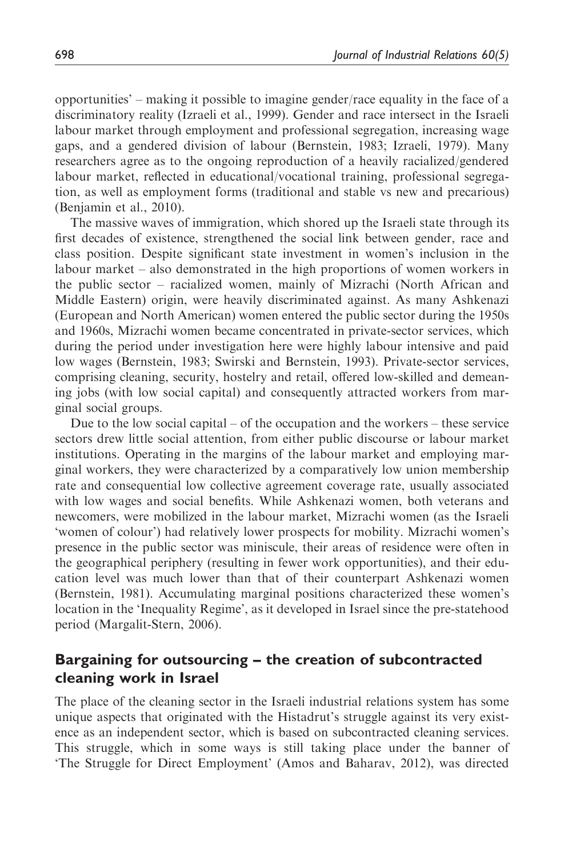opportunities' – making it possible to imagine gender/race equality in the face of a discriminatory reality (Izraeli et al., 1999). Gender and race intersect in the Israeli labour market through employment and professional segregation, increasing wage gaps, and a gendered division of labour (Bernstein, 1983; Izraeli, 1979). Many researchers agree as to the ongoing reproduction of a heavily racialized/gendered labour market, reflected in educational/vocational training, professional segregation, as well as employment forms (traditional and stable vs new and precarious) (Benjamin et al., 2010).

The massive waves of immigration, which shored up the Israeli state through its first decades of existence, strengthened the social link between gender, race and class position. Despite significant state investment in women's inclusion in the labour market – also demonstrated in the high proportions of women workers in the public sector – racialized women, mainly of Mizrachi (North African and Middle Eastern) origin, were heavily discriminated against. As many Ashkenazi (European and North American) women entered the public sector during the 1950s and 1960s, Mizrachi women became concentrated in private-sector services, which during the period under investigation here were highly labour intensive and paid low wages (Bernstein, 1983; Swirski and Bernstein, 1993). Private-sector services, comprising cleaning, security, hostelry and retail, offered low-skilled and demeaning jobs (with low social capital) and consequently attracted workers from marginal social groups.

Due to the low social capital – of the occupation and the workers – these service sectors drew little social attention, from either public discourse or labour market institutions. Operating in the margins of the labour market and employing marginal workers, they were characterized by a comparatively low union membership rate and consequential low collective agreement coverage rate, usually associated with low wages and social benefits. While Ashkenazi women, both veterans and newcomers, were mobilized in the labour market, Mizrachi women (as the Israeli 'women of colour') had relatively lower prospects for mobility. Mizrachi women's presence in the public sector was miniscule, their areas of residence were often in the geographical periphery (resulting in fewer work opportunities), and their education level was much lower than that of their counterpart Ashkenazi women (Bernstein, 1981). Accumulating marginal positions characterized these women's location in the 'Inequality Regime', as it developed in Israel since the pre-statehood period (Margalit-Stern, 2006).

## Bargaining for outsourcing – the creation of subcontracted cleaning work in Israel

The place of the cleaning sector in the Israeli industrial relations system has some unique aspects that originated with the Histadrut's struggle against its very existence as an independent sector, which is based on subcontracted cleaning services. This struggle, which in some ways is still taking place under the banner of 'The Struggle for Direct Employment' (Amos and Baharav, 2012), was directed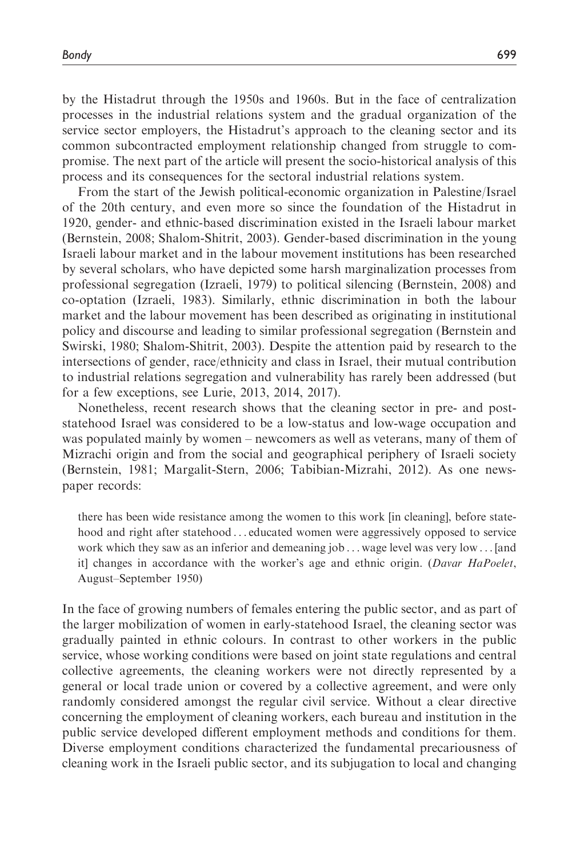by the Histadrut through the 1950s and 1960s. But in the face of centralization processes in the industrial relations system and the gradual organization of the service sector employers, the Histadrut's approach to the cleaning sector and its common subcontracted employment relationship changed from struggle to compromise. The next part of the article will present the socio-historical analysis of this process and its consequences for the sectoral industrial relations system.

From the start of the Jewish political-economic organization in Palestine/Israel of the 20th century, and even more so since the foundation of the Histadrut in 1920, gender- and ethnic-based discrimination existed in the Israeli labour market (Bernstein, 2008; Shalom-Shitrit, 2003). Gender-based discrimination in the young Israeli labour market and in the labour movement institutions has been researched by several scholars, who have depicted some harsh marginalization processes from professional segregation (Izraeli, 1979) to political silencing (Bernstein, 2008) and co-optation (Izraeli, 1983). Similarly, ethnic discrimination in both the labour market and the labour movement has been described as originating in institutional policy and discourse and leading to similar professional segregation (Bernstein and Swirski, 1980; Shalom-Shitrit, 2003). Despite the attention paid by research to the intersections of gender, race/ethnicity and class in Israel, their mutual contribution to industrial relations segregation and vulnerability has rarely been addressed (but for a few exceptions, see Lurie, 2013, 2014, 2017).

Nonetheless, recent research shows that the cleaning sector in pre- and poststatehood Israel was considered to be a low-status and low-wage occupation and was populated mainly by women – newcomers as well as veterans, many of them of Mizrachi origin and from the social and geographical periphery of Israeli society (Bernstein, 1981; Margalit-Stern, 2006; Tabibian-Mizrahi, 2012). As one newspaper records:

there has been wide resistance among the women to this work [in cleaning], before statehood and right after statehood ... educated women were aggressively opposed to service work which they saw as an inferior and demeaning job ... wage level was very low ... [and it] changes in accordance with the worker's age and ethnic origin. (Davar HaPoelet, August–September 1950)

In the face of growing numbers of females entering the public sector, and as part of the larger mobilization of women in early-statehood Israel, the cleaning sector was gradually painted in ethnic colours. In contrast to other workers in the public service, whose working conditions were based on joint state regulations and central collective agreements, the cleaning workers were not directly represented by a general or local trade union or covered by a collective agreement, and were only randomly considered amongst the regular civil service. Without a clear directive concerning the employment of cleaning workers, each bureau and institution in the public service developed different employment methods and conditions for them. Diverse employment conditions characterized the fundamental precariousness of cleaning work in the Israeli public sector, and its subjugation to local and changing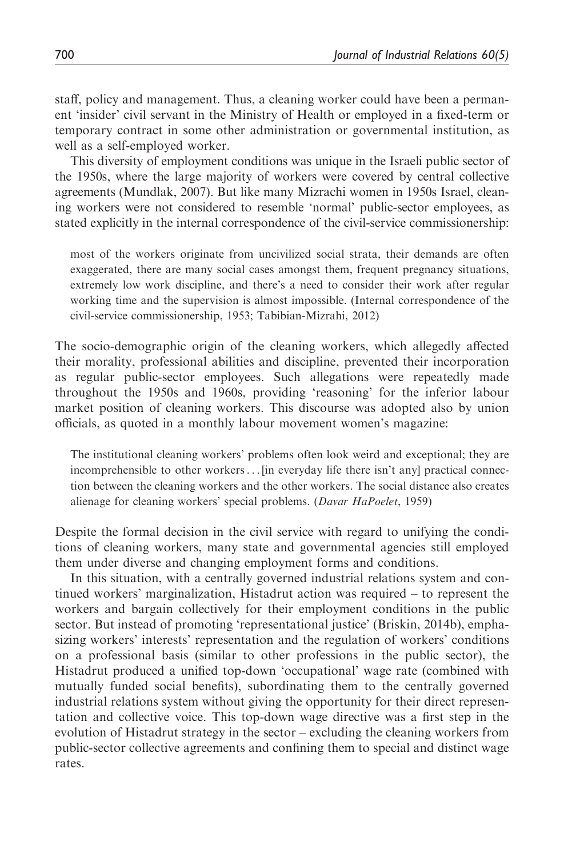staff, policy and management. Thus, a cleaning worker could have been a permanent 'insider' civil servant in the Ministry of Health or employed in a fixed-term or temporary contract in some other administration or governmental institution, as well as a self-employed worker.

This diversity of employment conditions was unique in the Israeli public sector of the 1950s, where the large majority of workers were covered by central collective agreements (Mundlak, 2007). But like many Mizrachi women in 1950s Israel, cleaning workers were not considered to resemble 'normal' public-sector employees, as stated explicitly in the internal correspondence of the civil-service commissionership:

most of the workers originate from uncivilized social strata, their demands are often exaggerated, there are many social cases amongst them, frequent pregnancy situations, extremely low work discipline, and there's a need to consider their work after regular working time and the supervision is almost impossible. (Internal correspondence of the civil-service commissionership, 1953; Tabibian-Mizrahi, 2012)

The socio-demographic origin of the cleaning workers, which allegedly affected their morality, professional abilities and discipline, prevented their incorporation as regular public-sector employees. Such allegations were repeatedly made throughout the 1950s and 1960s, providing 'reasoning' for the inferior labour market position of cleaning workers. This discourse was adopted also by union officials, as quoted in a monthly labour movement women's magazine:

The institutional cleaning workers' problems often look weird and exceptional; they are incomprehensible to other workers... [in everyday life there isn't any] practical connection between the cleaning workers and the other workers. The social distance also creates alienage for cleaning workers' special problems. (Davar HaPoelet, 1959)

Despite the formal decision in the civil service with regard to unifying the conditions of cleaning workers, many state and governmental agencies still employed them under diverse and changing employment forms and conditions.

In this situation, with a centrally governed industrial relations system and continued workers' marginalization, Histadrut action was required – to represent the workers and bargain collectively for their employment conditions in the public sector. But instead of promoting 'representational justice' (Briskin, 2014b), emphasizing workers' interests' representation and the regulation of workers' conditions on a professional basis (similar to other professions in the public sector), the Histadrut produced a unified top-down 'occupational' wage rate (combined with mutually funded social benefits), subordinating them to the centrally governed industrial relations system without giving the opportunity for their direct representation and collective voice. This top-down wage directive was a first step in the evolution of Histadrut strategy in the sector – excluding the cleaning workers from public-sector collective agreements and confining them to special and distinct wage rates.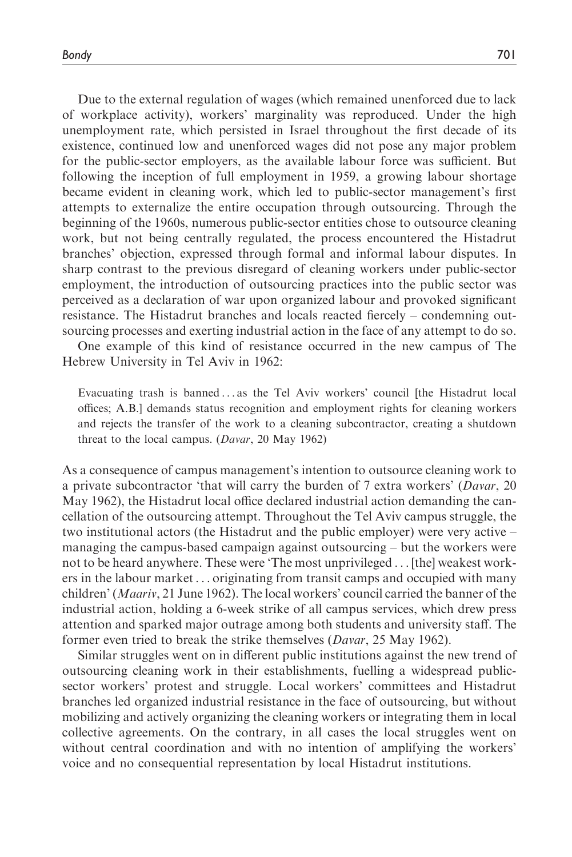Bondy 701

Due to the external regulation of wages (which remained unenforced due to lack of workplace activity), workers' marginality was reproduced. Under the high unemployment rate, which persisted in Israel throughout the first decade of its existence, continued low and unenforced wages did not pose any major problem for the public-sector employers, as the available labour force was sufficient. But following the inception of full employment in 1959, a growing labour shortage became evident in cleaning work, which led to public-sector management's first attempts to externalize the entire occupation through outsourcing. Through the beginning of the 1960s, numerous public-sector entities chose to outsource cleaning work, but not being centrally regulated, the process encountered the Histadrut branches' objection, expressed through formal and informal labour disputes. In sharp contrast to the previous disregard of cleaning workers under public-sector employment, the introduction of outsourcing practices into the public sector was perceived as a declaration of war upon organized labour and provoked significant resistance. The Histadrut branches and locals reacted fiercely – condemning outsourcing processes and exerting industrial action in the face of any attempt to do so.

One example of this kind of resistance occurred in the new campus of The Hebrew University in Tel Aviv in 1962:

Evacuating trash is banned ... as the Tel Aviv workers' council [the Histadrut local offices; A.B.] demands status recognition and employment rights for cleaning workers and rejects the transfer of the work to a cleaning subcontractor, creating a shutdown threat to the local campus. (Davar, 20 May 1962)

As a consequence of campus management's intention to outsource cleaning work to a private subcontractor 'that will carry the burden of 7 extra workers' (Davar, 20 May 1962), the Histadrut local office declared industrial action demanding the cancellation of the outsourcing attempt. Throughout the Tel Aviv campus struggle, the two institutional actors (the Histadrut and the public employer) were very active – managing the campus-based campaign against outsourcing – but the workers were not to be heard anywhere. These were 'The most unprivileged ... [the] weakest workers in the labour market ... originating from transit camps and occupied with many children' (Maariv, 21 June 1962). The local workers' council carried the banner of the industrial action, holding a 6-week strike of all campus services, which drew press attention and sparked major outrage among both students and university staff. The former even tried to break the strike themselves (Davar, 25 May 1962).

Similar struggles went on in different public institutions against the new trend of outsourcing cleaning work in their establishments, fuelling a widespread publicsector workers' protest and struggle. Local workers' committees and Histadrut branches led organized industrial resistance in the face of outsourcing, but without mobilizing and actively organizing the cleaning workers or integrating them in local collective agreements. On the contrary, in all cases the local struggles went on without central coordination and with no intention of amplifying the workers' voice and no consequential representation by local Histadrut institutions.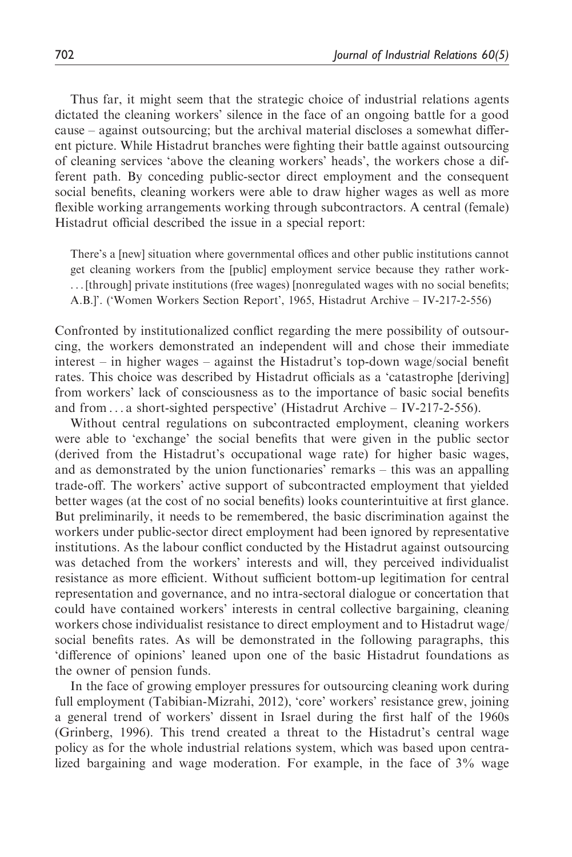Thus far, it might seem that the strategic choice of industrial relations agents dictated the cleaning workers' silence in the face of an ongoing battle for a good cause – against outsourcing; but the archival material discloses a somewhat different picture. While Histadrut branches were fighting their battle against outsourcing of cleaning services 'above the cleaning workers' heads', the workers chose a different path. By conceding public-sector direct employment and the consequent social benefits, cleaning workers were able to draw higher wages as well as more flexible working arrangements working through subcontractors. A central (female) Histadrut official described the issue in a special report:

There's a [new] situation where governmental offices and other public institutions cannot get cleaning workers from the [public] employment service because they rather work- ... [through] private institutions (free wages) [nonregulated wages with no social benefits; A.B.]'. ('Women Workers Section Report', 1965, Histadrut Archive – IV-217-2-556)

Confronted by institutionalized conflict regarding the mere possibility of outsourcing, the workers demonstrated an independent will and chose their immediate interest – in higher wages – against the Histadrut's top-down wage/social benefit rates. This choice was described by Histadrut officials as a 'catastrophe [deriving] from workers' lack of consciousness as to the importance of basic social benefits and from ... a short-sighted perspective' (Histadrut Archive – IV-217-2-556).

Without central regulations on subcontracted employment, cleaning workers were able to 'exchange' the social benefits that were given in the public sector (derived from the Histadrut's occupational wage rate) for higher basic wages, and as demonstrated by the union functionaries' remarks – this was an appalling trade-off. The workers' active support of subcontracted employment that yielded better wages (at the cost of no social benefits) looks counterintuitive at first glance. But preliminarily, it needs to be remembered, the basic discrimination against the workers under public-sector direct employment had been ignored by representative institutions. As the labour conflict conducted by the Histadrut against outsourcing was detached from the workers' interests and will, they perceived individualist resistance as more efficient. Without sufficient bottom-up legitimation for central representation and governance, and no intra-sectoral dialogue or concertation that could have contained workers' interests in central collective bargaining, cleaning workers chose individualist resistance to direct employment and to Histadrut wage/ social benefits rates. As will be demonstrated in the following paragraphs, this 'difference of opinions' leaned upon one of the basic Histadrut foundations as the owner of pension funds.

In the face of growing employer pressures for outsourcing cleaning work during full employment (Tabibian-Mizrahi, 2012), 'core' workers' resistance grew, joining a general trend of workers' dissent in Israel during the first half of the 1960s (Grinberg, 1996). This trend created a threat to the Histadrut's central wage policy as for the whole industrial relations system, which was based upon centralized bargaining and wage moderation. For example, in the face of 3% wage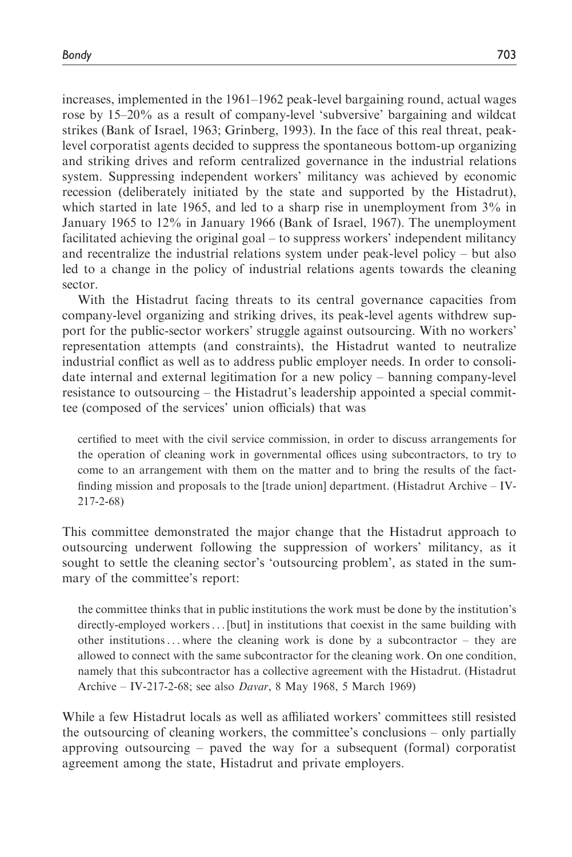increases, implemented in the 1961–1962 peak-level bargaining round, actual wages rose by 15–20% as a result of company-level 'subversive' bargaining and wildcat strikes (Bank of Israel, 1963; Grinberg, 1993). In the face of this real threat, peaklevel corporatist agents decided to suppress the spontaneous bottom-up organizing and striking drives and reform centralized governance in the industrial relations system. Suppressing independent workers' militancy was achieved by economic recession (deliberately initiated by the state and supported by the Histadrut), which started in late 1965, and led to a sharp rise in unemployment from 3% in January 1965 to 12% in January 1966 (Bank of Israel, 1967). The unemployment facilitated achieving the original goal – to suppress workers' independent militancy and recentralize the industrial relations system under peak-level policy – but also led to a change in the policy of industrial relations agents towards the cleaning sector.

With the Histadrut facing threats to its central governance capacities from company-level organizing and striking drives, its peak-level agents withdrew support for the public-sector workers' struggle against outsourcing. With no workers' representation attempts (and constraints), the Histadrut wanted to neutralize industrial conflict as well as to address public employer needs. In order to consolidate internal and external legitimation for a new policy – banning company-level resistance to outsourcing – the Histadrut's leadership appointed a special committee (composed of the services' union officials) that was

certified to meet with the civil service commission, in order to discuss arrangements for the operation of cleaning work in governmental offices using subcontractors, to try to come to an arrangement with them on the matter and to bring the results of the factfinding mission and proposals to the [trade union] department. (Histadrut Archive – IV-217-2-68)

This committee demonstrated the major change that the Histadrut approach to outsourcing underwent following the suppression of workers' militancy, as it sought to settle the cleaning sector's 'outsourcing problem', as stated in the summary of the committee's report:

the committee thinks that in public institutions the work must be done by the institution's directly-employed workers... [but] in institutions that coexist in the same building with other institutions... where the cleaning work is done by a subcontractor – they are allowed to connect with the same subcontractor for the cleaning work. On one condition, namely that this subcontractor has a collective agreement with the Histadrut. (Histadrut Archive – IV-217-2-68; see also Davar, 8 May 1968, 5 March 1969)

While a few Histadrut locals as well as affiliated workers' committees still resisted the outsourcing of cleaning workers, the committee's conclusions – only partially approving outsourcing – paved the way for a subsequent (formal) corporatist agreement among the state, Histadrut and private employers.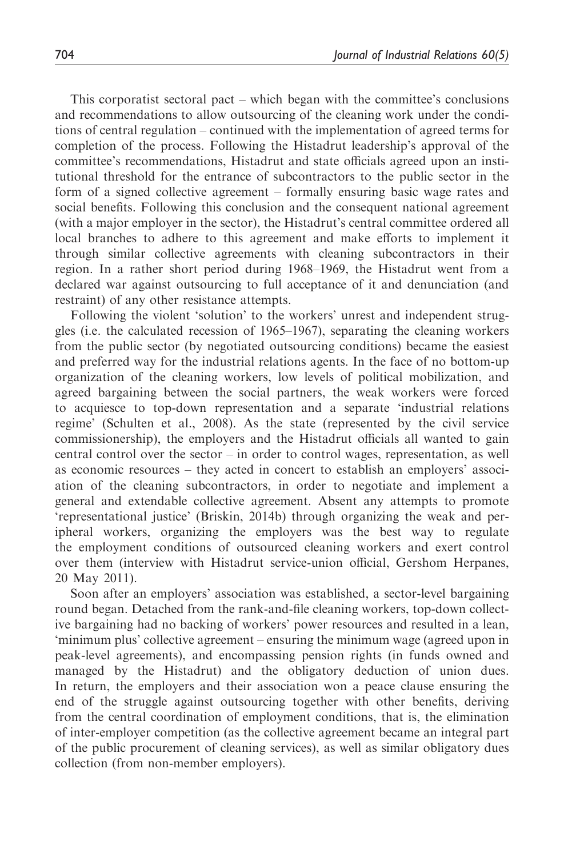This corporatist sectoral pact – which began with the committee's conclusions and recommendations to allow outsourcing of the cleaning work under the conditions of central regulation – continued with the implementation of agreed terms for completion of the process. Following the Histadrut leadership's approval of the committee's recommendations, Histadrut and state officials agreed upon an institutional threshold for the entrance of subcontractors to the public sector in the form of a signed collective agreement – formally ensuring basic wage rates and social benefits. Following this conclusion and the consequent national agreement (with a major employer in the sector), the Histadrut's central committee ordered all local branches to adhere to this agreement and make efforts to implement it through similar collective agreements with cleaning subcontractors in their region. In a rather short period during 1968–1969, the Histadrut went from a declared war against outsourcing to full acceptance of it and denunciation (and restraint) of any other resistance attempts.

Following the violent 'solution' to the workers' unrest and independent struggles (i.e. the calculated recession of 1965–1967), separating the cleaning workers from the public sector (by negotiated outsourcing conditions) became the easiest and preferred way for the industrial relations agents. In the face of no bottom-up organization of the cleaning workers, low levels of political mobilization, and agreed bargaining between the social partners, the weak workers were forced to acquiesce to top-down representation and a separate 'industrial relations regime' (Schulten et al., 2008). As the state (represented by the civil service commissionership), the employers and the Histadrut officials all wanted to gain central control over the sector – in order to control wages, representation, as well as economic resources – they acted in concert to establish an employers' association of the cleaning subcontractors, in order to negotiate and implement a general and extendable collective agreement. Absent any attempts to promote 'representational justice' (Briskin, 2014b) through organizing the weak and peripheral workers, organizing the employers was the best way to regulate the employment conditions of outsourced cleaning workers and exert control over them (interview with Histadrut service-union official, Gershom Herpanes, 20 May 2011).

Soon after an employers' association was established, a sector-level bargaining round began. Detached from the rank-and-file cleaning workers, top-down collective bargaining had no backing of workers' power resources and resulted in a lean, 'minimum plus' collective agreement – ensuring the minimum wage (agreed upon in peak-level agreements), and encompassing pension rights (in funds owned and managed by the Histadrut) and the obligatory deduction of union dues. In return, the employers and their association won a peace clause ensuring the end of the struggle against outsourcing together with other benefits, deriving from the central coordination of employment conditions, that is, the elimination of inter-employer competition (as the collective agreement became an integral part of the public procurement of cleaning services), as well as similar obligatory dues collection (from non-member employers).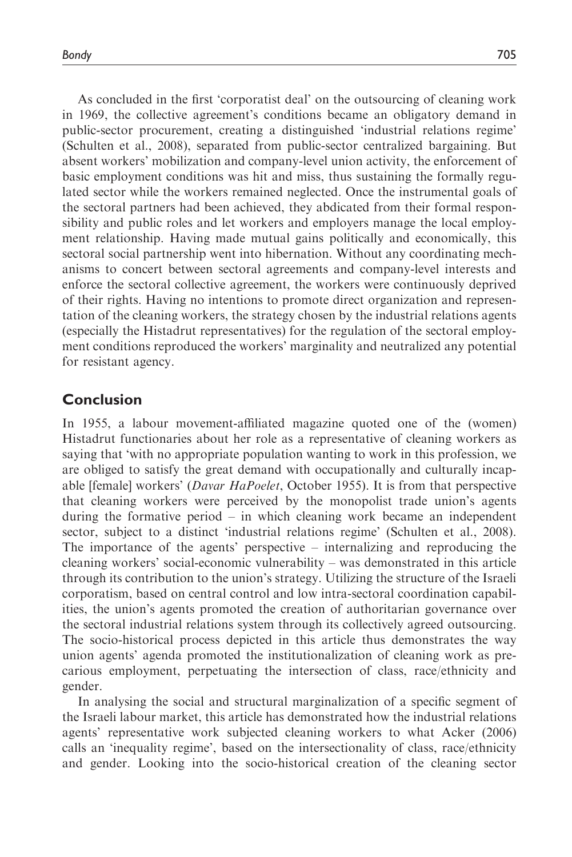As concluded in the first 'corporatist deal' on the outsourcing of cleaning work in 1969, the collective agreement's conditions became an obligatory demand in public-sector procurement, creating a distinguished 'industrial relations regime' (Schulten et al., 2008), separated from public-sector centralized bargaining. But absent workers' mobilization and company-level union activity, the enforcement of basic employment conditions was hit and miss, thus sustaining the formally regulated sector while the workers remained neglected. Once the instrumental goals of the sectoral partners had been achieved, they abdicated from their formal responsibility and public roles and let workers and employers manage the local employment relationship. Having made mutual gains politically and economically, this sectoral social partnership went into hibernation. Without any coordinating mechanisms to concert between sectoral agreements and company-level interests and enforce the sectoral collective agreement, the workers were continuously deprived of their rights. Having no intentions to promote direct organization and representation of the cleaning workers, the strategy chosen by the industrial relations agents (especially the Histadrut representatives) for the regulation of the sectoral employment conditions reproduced the workers' marginality and neutralized any potential for resistant agency.

## Conclusion

In 1955, a labour movement-affiliated magazine quoted one of the (women) Histadrut functionaries about her role as a representative of cleaning workers as saying that 'with no appropriate population wanting to work in this profession, we are obliged to satisfy the great demand with occupationally and culturally incapable [female] workers' (Davar HaPoelet, October 1955). It is from that perspective that cleaning workers were perceived by the monopolist trade union's agents during the formative period – in which cleaning work became an independent sector, subject to a distinct 'industrial relations regime' (Schulten et al., 2008). The importance of the agents' perspective – internalizing and reproducing the cleaning workers' social-economic vulnerability – was demonstrated in this article through its contribution to the union's strategy. Utilizing the structure of the Israeli corporatism, based on central control and low intra-sectoral coordination capabilities, the union's agents promoted the creation of authoritarian governance over the sectoral industrial relations system through its collectively agreed outsourcing. The socio-historical process depicted in this article thus demonstrates the way union agents' agenda promoted the institutionalization of cleaning work as precarious employment, perpetuating the intersection of class, race/ethnicity and gender.

In analysing the social and structural marginalization of a specific segment of the Israeli labour market, this article has demonstrated how the industrial relations agents' representative work subjected cleaning workers to what Acker (2006) calls an 'inequality regime', based on the intersectionality of class, race/ethnicity and gender. Looking into the socio-historical creation of the cleaning sector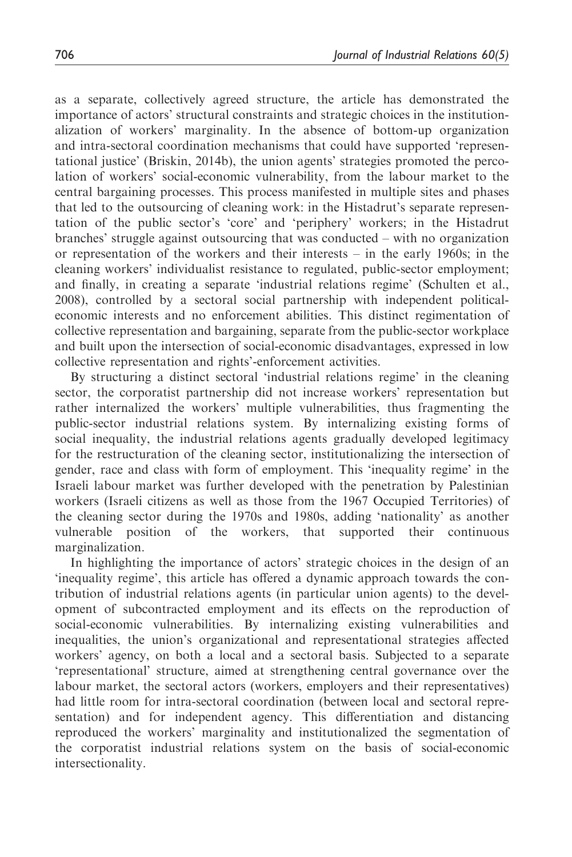as a separate, collectively agreed structure, the article has demonstrated the importance of actors' structural constraints and strategic choices in the institutionalization of workers' marginality. In the absence of bottom-up organization and intra-sectoral coordination mechanisms that could have supported 'representational justice' (Briskin, 2014b), the union agents' strategies promoted the percolation of workers' social-economic vulnerability, from the labour market to the central bargaining processes. This process manifested in multiple sites and phases that led to the outsourcing of cleaning work: in the Histadrut's separate representation of the public sector's 'core' and 'periphery' workers; in the Histadrut branches' struggle against outsourcing that was conducted – with no organization or representation of the workers and their interests – in the early 1960s; in the cleaning workers' individualist resistance to regulated, public-sector employment; and finally, in creating a separate 'industrial relations regime' (Schulten et al., 2008), controlled by a sectoral social partnership with independent politicaleconomic interests and no enforcement abilities. This distinct regimentation of collective representation and bargaining, separate from the public-sector workplace and built upon the intersection of social-economic disadvantages, expressed in low collective representation and rights'-enforcement activities.

By structuring a distinct sectoral 'industrial relations regime' in the cleaning sector, the corporatist partnership did not increase workers' representation but rather internalized the workers' multiple vulnerabilities, thus fragmenting the public-sector industrial relations system. By internalizing existing forms of social inequality, the industrial relations agents gradually developed legitimacy for the restructuration of the cleaning sector, institutionalizing the intersection of gender, race and class with form of employment. This 'inequality regime' in the Israeli labour market was further developed with the penetration by Palestinian workers (Israeli citizens as well as those from the 1967 Occupied Territories) of the cleaning sector during the 1970s and 1980s, adding 'nationality' as another vulnerable position of the workers, that supported their continuous marginalization.

In highlighting the importance of actors' strategic choices in the design of an 'inequality regime', this article has offered a dynamic approach towards the contribution of industrial relations agents (in particular union agents) to the development of subcontracted employment and its effects on the reproduction of social-economic vulnerabilities. By internalizing existing vulnerabilities and inequalities, the union's organizational and representational strategies affected workers' agency, on both a local and a sectoral basis. Subjected to a separate 'representational' structure, aimed at strengthening central governance over the labour market, the sectoral actors (workers, employers and their representatives) had little room for intra-sectoral coordination (between local and sectoral representation) and for independent agency. This differentiation and distancing reproduced the workers' marginality and institutionalized the segmentation of the corporatist industrial relations system on the basis of social-economic intersectionality.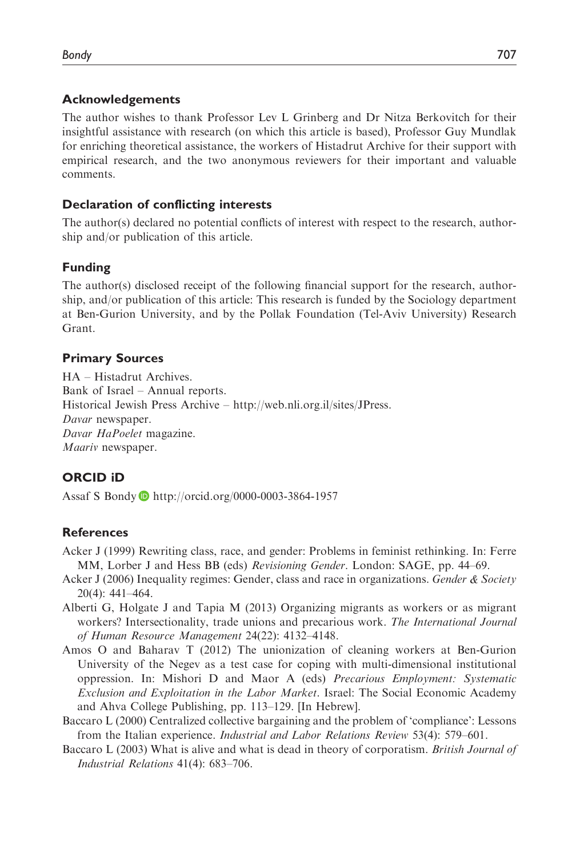#### Acknowledgements

The author wishes to thank Professor Lev L Grinberg and Dr Nitza Berkovitch for their insightful assistance with research (on which this article is based), Professor Guy Mundlak for enriching theoretical assistance, the workers of Histadrut Archive for their support with empirical research, and the two anonymous reviewers for their important and valuable comments.

#### Declaration of conflicting interests

The author(s) declared no potential conflicts of interest with respect to the research, authorship and/or publication of this article.

#### Funding

The author(s) disclosed receipt of the following financial support for the research, authorship, and/or publication of this article: This research is funded by the Sociology department at Ben-Gurion University, and by the Pollak Foundation (Tel-Aviv University) Research Grant.

#### Primary Sources

HA – Histadrut Archives. Bank of Israel – Annual reports. Historical Jewish Press Archive – [http://web.nli.org.il/sites/JPress.](http://web.nli.org.il/sites/JPress) Davar newspaper. Davar HaPoelet magazine. Maariv newspaper.

#### ORCID iD

Assaf S Bondy <http://orcid.org/0000-0003-3864-1957>

#### References

- Acker J (1999) Rewriting class, race, and gender: Problems in feminist rethinking. In: Ferre MM, Lorber J and Hess BB (eds) Revisioning Gender. London: SAGE, pp. 44–69.
- Acker J (2006) Inequality regimes: Gender, class and race in organizations. Gender  $\&$  Society 20(4): 441–464.
- Alberti G, Holgate J and Tapia M (2013) Organizing migrants as workers or as migrant workers? Intersectionality, trade unions and precarious work. The International Journal of Human Resource Management 24(22): 4132–4148.
- Amos O and Baharav T (2012) The unionization of cleaning workers at Ben-Gurion University of the Negev as a test case for coping with multi-dimensional institutional oppression. In: Mishori D and Maor A (eds) Precarious Employment: Systematic Exclusion and Exploitation in the Labor Market. Israel: The Social Economic Academy and Ahva College Publishing, pp. 113–129. [In Hebrew].
- Baccaro L (2000) Centralized collective bargaining and the problem of 'compliance': Lessons from the Italian experience. Industrial and Labor Relations Review 53(4): 579–601.
- Baccaro L (2003) What is alive and what is dead in theory of corporatism. British Journal of Industrial Relations 41(4): 683–706.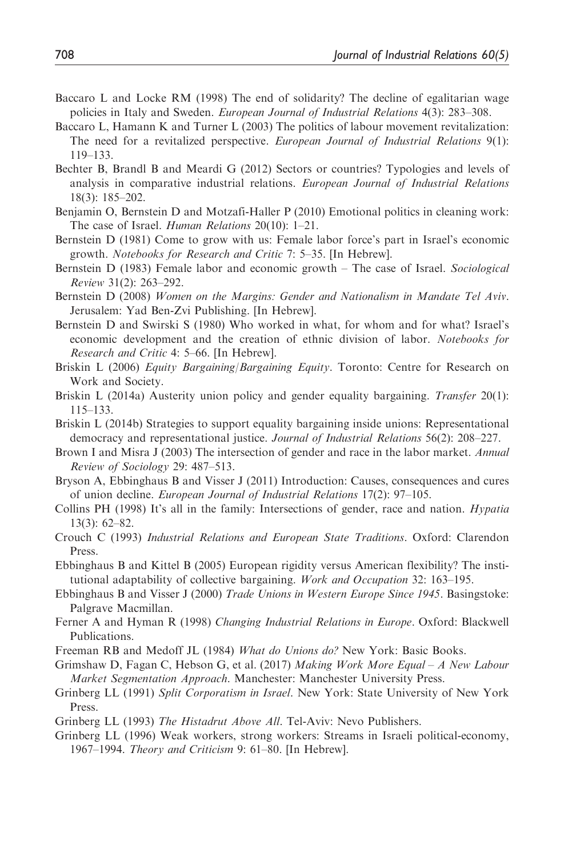- Baccaro L and Locke RM (1998) The end of solidarity? The decline of egalitarian wage policies in Italy and Sweden. European Journal of Industrial Relations 4(3): 283–308.
- Baccaro L, Hamann K and Turner L (2003) The politics of labour movement revitalization: The need for a revitalized perspective. European Journal of Industrial Relations 9(1): 119–133.
- Bechter B, Brandl B and Meardi G (2012) Sectors or countries? Typologies and levels of analysis in comparative industrial relations. European Journal of Industrial Relations 18(3): 185–202.
- Benjamin O, Bernstein D and Motzafi-Haller P (2010) Emotional politics in cleaning work: The case of Israel. *Human Relations* 20(10): 1–21.
- Bernstein D (1981) Come to grow with us: Female labor force's part in Israel's economic growth. Notebooks for Research and Critic 7: 5–35. [In Hebrew].
- Bernstein D (1983) Female labor and economic growth The case of Israel. Sociological Review 31(2): 263–292.
- Bernstein D (2008) Women on the Margins: Gender and Nationalism in Mandate Tel Aviv. Jerusalem: Yad Ben-Zvi Publishing. [In Hebrew].
- Bernstein D and Swirski S (1980) Who worked in what, for whom and for what? Israel's economic development and the creation of ethnic division of labor. Notebooks for Research and Critic 4: 5–66. [In Hebrew].
- Briskin L (2006) Equity Bargaining/Bargaining Equity. Toronto: Centre for Research on Work and Society.
- Briskin L (2014a) Austerity union policy and gender equality bargaining. Transfer 20(1): 115–133.
- Briskin L (2014b) Strategies to support equality bargaining inside unions: Representational democracy and representational justice. Journal of Industrial Relations 56(2): 208–227.
- Brown I and Misra J (2003) The intersection of gender and race in the labor market. Annual Review of Sociology 29: 487–513.
- Bryson A, Ebbinghaus B and Visser J (2011) Introduction: Causes, consequences and cures of union decline. European Journal of Industrial Relations 17(2): 97–105.
- Collins PH (1998) It's all in the family: Intersections of gender, race and nation. Hypatia 13(3): 62–82.
- Crouch C (1993) Industrial Relations and European State Traditions. Oxford: Clarendon Press.
- Ebbinghaus B and Kittel B (2005) European rigidity versus American flexibility? The institutional adaptability of collective bargaining. Work and Occupation 32: 163–195.
- Ebbinghaus B and Visser J (2000) Trade Unions in Western Europe Since 1945. Basingstoke: Palgrave Macmillan.
- Ferner A and Hyman R (1998) Changing Industrial Relations in Europe. Oxford: Blackwell Publications.
- Freeman RB and Medoff JL (1984) What do Unions do? New York: Basic Books.
- Grimshaw D, Fagan C, Hebson G, et al. (2017) Making Work More Equal A New Labour Market Segmentation Approach. Manchester: Manchester University Press.
- Grinberg LL (1991) Split Corporatism in Israel. New York: State University of New York Press.
- Grinberg LL (1993) The Histadrut Above All. Tel-Aviv: Nevo Publishers.
- Grinberg LL (1996) Weak workers, strong workers: Streams in Israeli political-economy, 1967–1994. Theory and Criticism 9: 61–80. [In Hebrew].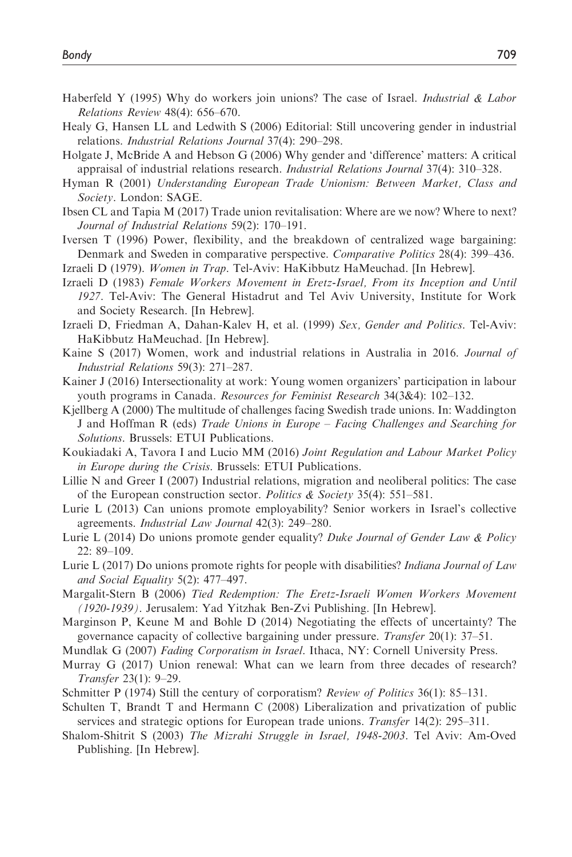- Haberfeld Y (1995) Why do workers join unions? The case of Israel. *Industrial & Labor* Relations Review 48(4): 656–670.
- Healy G, Hansen LL and Ledwith S (2006) Editorial: Still uncovering gender in industrial relations. Industrial Relations Journal 37(4): 290–298.
- Holgate J, McBride A and Hebson G (2006) Why gender and 'difference' matters: A critical appraisal of industrial relations research. Industrial Relations Journal 37(4): 310–328.
- Hyman R (2001) Understanding European Trade Unionism: Between Market, Class and Society. London: SAGE.
- Ibsen CL and Tapia M (2017) Trade union revitalisation: Where are we now? Where to next? Journal of Industrial Relations 59(2): 170–191.
- Iversen T (1996) Power, flexibility, and the breakdown of centralized wage bargaining: Denmark and Sweden in comparative perspective. Comparative Politics 28(4): 399–436.
- Izraeli D (1979). Women in Trap. Tel-Aviv: HaKibbutz HaMeuchad. [In Hebrew].
- Izraeli D (1983) Female Workers Movement in Eretz-Israel, From its Inception and Until 1927. Tel-Aviv: The General Histadrut and Tel Aviv University, Institute for Work and Society Research. [In Hebrew].
- Izraeli D, Friedman A, Dahan-Kalev H, et al. (1999) Sex, Gender and Politics. Tel-Aviv: HaKibbutz HaMeuchad. [In Hebrew].
- Kaine S (2017) Women, work and industrial relations in Australia in 2016. Journal of Industrial Relations 59(3): 271–287.
- Kainer J (2016) Intersectionality at work: Young women organizers' participation in labour youth programs in Canada. Resources for Feminist Research 34(3&4): 102–132.
- Kjellberg A (2000) The multitude of challenges facing Swedish trade unions. In: Waddington J and Hoffman R (eds) Trade Unions in Europe – Facing Challenges and Searching for Solutions. Brussels: ETUI Publications.
- Koukiadaki A, Tavora I and Lucio MM (2016) Joint Regulation and Labour Market Policy in Europe during the Crisis. Brussels: ETUI Publications.
- Lillie N and Greer I (2007) Industrial relations, migration and neoliberal politics: The case of the European construction sector. Politics & Society 35(4): 551–581.
- Lurie L (2013) Can unions promote employability? Senior workers in Israel's collective agreements. Industrial Law Journal 42(3): 249–280.
- Lurie L (2014) Do unions promote gender equality? Duke Journal of Gender Law & Policy 22: 89–109.
- Lurie L (2017) Do unions promote rights for people with disabilities? Indiana Journal of Law and Social Equality 5(2): 477–497.
- Margalit-Stern B (2006) Tied Redemption: The Eretz-Israeli Women Workers Movement (1920-1939). Jerusalem: Yad Yitzhak Ben-Zvi Publishing. [In Hebrew].
- Marginson P, Keune M and Bohle D (2014) Negotiating the effects of uncertainty? The governance capacity of collective bargaining under pressure. Transfer 20(1): 37–51.
- Mundlak G (2007) Fading Corporatism in Israel. Ithaca, NY: Cornell University Press.
- Murray G (2017) Union renewal: What can we learn from three decades of research? Transfer 23(1): 9–29.
- Schmitter P (1974) Still the century of corporatism? Review of Politics 36(1): 85–131.
- Schulten T, Brandt T and Hermann C (2008) Liberalization and privatization of public services and strategic options for European trade unions. Transfer 14(2): 295–311.
- Shalom-Shitrit S (2003) The Mizrahi Struggle in Israel, 1948-2003. Tel Aviv: Am-Oved Publishing. [In Hebrew].